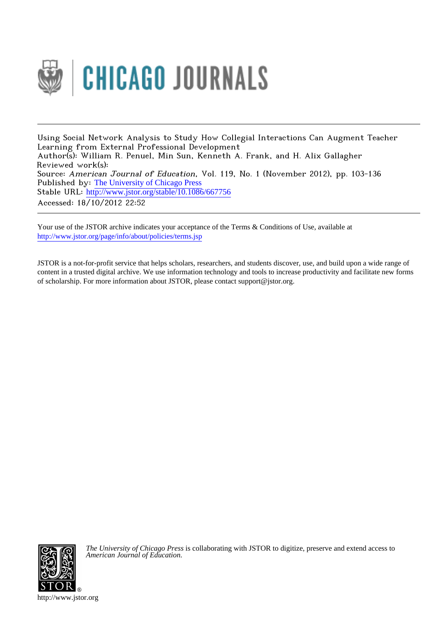

Using Social Network Analysis to Study How Collegial Interactions Can Augment Teacher Learning from External Professional Development Author(s): William R. Penuel, Min Sun, Kenneth A. Frank, and H. Alix Gallagher Reviewed work(s): Source: American Journal of Education, Vol. 119, No. 1 (November 2012), pp. 103-136 Published by: [The University of Chicago Press](http://www.jstor.org/action/showPublisher?publisherCode=ucpress) Stable URL: http://www.jstor.org/stable/10.1086/667756 Accessed: 18/10/2012 22:52

Your use of the JSTOR archive indicates your acceptance of the Terms & Conditions of Use, available at <http://www.jstor.org/page/info/about/policies/terms.jsp>

JSTOR is a not-for-profit service that helps scholars, researchers, and students discover, use, and build upon a wide range of content in a trusted digital archive. We use information technology and tools to increase productivity and facilitate new forms of scholarship. For more information about JSTOR, please contact support@jstor.org.



*The University of Chicago Press* is collaborating with JSTOR to digitize, preserve and extend access to *American Journal of Education.*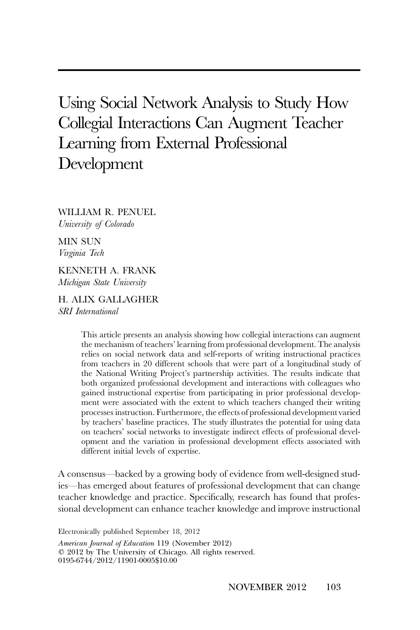Using Social Network Analysis to Study How Collegial Interactions Can Augment Teacher Learning from External Professional Development

WILLIAM R. PENUEL *University of Colorado*

MIN SUN *Virginia Tech*

KENNETH A. FRANK *Michigan State University*

H. ALIX GALLAGHER *SRI International*

> This article presents an analysis showing how collegial interactions can augment the mechanism of teachers' learning from professional development. The analysis relies on social network data and self-reports of writing instructional practices from teachers in 20 different schools that were part of a longitudinal study of the National Writing Project's partnership activities. The results indicate that both organized professional development and interactions with colleagues who gained instructional expertise from participating in prior professional development were associated with the extent to which teachers changed their writing processes instruction. Furthermore, the effects of professional development varied by teachers' baseline practices. The study illustrates the potential for using data on teachers' social networks to investigate indirect effects of professional development and the variation in professional development effects associated with different initial levels of expertise.

A consensus—backed by a growing body of evidence from well-designed studies—has emerged about features of professional development that can change teacher knowledge and practice. Specifically, research has found that professional development can enhance teacher knowledge and improve instructional

Electronically published September 18, 2012

*American Journal of Education* 119 (November 2012) - 2012 by The University of Chicago. All rights reserved. 0195-6744/2012/11901-0005\$10.00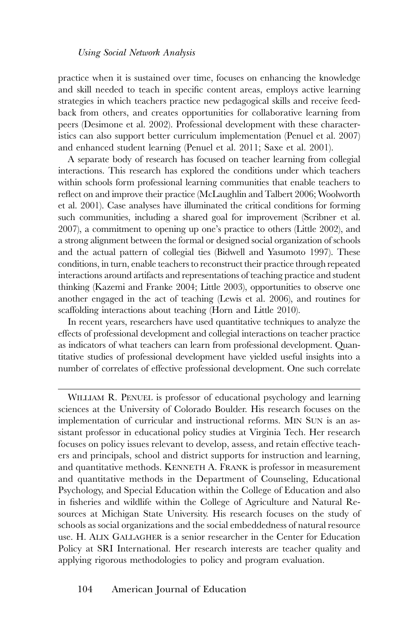practice when it is sustained over time, focuses on enhancing the knowledge and skill needed to teach in specific content areas, employs active learning strategies in which teachers practice new pedagogical skills and receive feedback from others, and creates opportunities for collaborative learning from peers (Desimone et al. 2002). Professional development with these characteristics can also support better curriculum implementation (Penuel et al. 2007) and enhanced student learning (Penuel et al. 2011; Saxe et al. 2001).

A separate body of research has focused on teacher learning from collegial interactions. This research has explored the conditions under which teachers within schools form professional learning communities that enable teachers to reflect on and improve their practice (McLaughlin and Talbert 2006; Woolworth et al. 2001). Case analyses have illuminated the critical conditions for forming such communities, including a shared goal for improvement (Scribner et al. 2007), a commitment to opening up one's practice to others (Little 2002), and a strong alignment between the formal or designed social organization of schools and the actual pattern of collegial ties (Bidwell and Yasumoto 1997). These conditions, in turn, enable teachers to reconstruct their practice through repeated interactions around artifacts and representations of teaching practice and student thinking (Kazemi and Franke 2004; Little 2003), opportunities to observe one another engaged in the act of teaching (Lewis et al. 2006), and routines for scaffolding interactions about teaching (Horn and Little 2010).

In recent years, researchers have used quantitative techniques to analyze the effects of professional development and collegial interactions on teacher practice as indicators of what teachers can learn from professional development. Quantitative studies of professional development have yielded useful insights into a number of correlates of effective professional development. One such correlate

WILLIAM R. PENUEL is professor of educational psychology and learning sciences at the University of Colorado Boulder. His research focuses on the implementation of curricular and instructional reforms. MIN SUN is an assistant professor in educational policy studies at Virginia Tech. Her research focuses on policy issues relevant to develop, assess, and retain effective teachers and principals, school and district supports for instruction and learning, and quantitative methods. KENNETH A. FRANK is professor in measurement and quantitative methods in the Department of Counseling, Educational Psychology, and Special Education within the College of Education and also in fisheries and wildlife within the College of Agriculture and Natural Resources at Michigan State University. His research focuses on the study of schools as social organizations and the social embeddedness of natural resource use. H. ALIX GALLAGHER is a senior researcher in the Center for Education Policy at SRI International. Her research interests are teacher quality and applying rigorous methodologies to policy and program evaluation.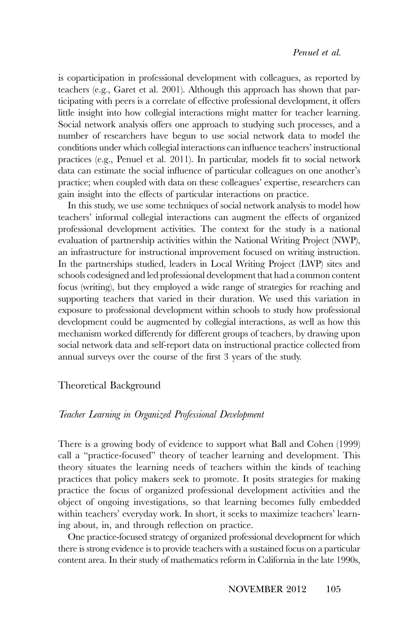is coparticipation in professional development with colleagues, as reported by teachers (e.g., Garet et al. 2001). Although this approach has shown that participating with peers is a correlate of effective professional development, it offers little insight into how collegial interactions might matter for teacher learning. Social network analysis offers one approach to studying such processes, and a number of researchers have begun to use social network data to model the conditions under which collegial interactions can influence teachers' instructional practices (e.g., Penuel et al. 2011). In particular, models fit to social network data can estimate the social influence of particular colleagues on one another's practice; when coupled with data on these colleagues' expertise, researchers can gain insight into the effects of particular interactions on practice.

In this study, we use some techniques of social network analysis to model how teachers' informal collegial interactions can augment the effects of organized professional development activities. The context for the study is a national evaluation of partnership activities within the National Writing Project (NWP), an infrastructure for instructional improvement focused on writing instruction. In the partnerships studied, leaders in Local Writing Project (LWP) sites and schools codesigned and led professional development that had a common content focus (writing), but they employed a wide range of strategies for reaching and supporting teachers that varied in their duration. We used this variation in exposure to professional development within schools to study how professional development could be augmented by collegial interactions, as well as how this mechanism worked differently for different groups of teachers, by drawing upon social network data and self-report data on instructional practice collected from annual surveys over the course of the first 3 years of the study.

# Theoretical Background

### *Teacher Learning in Organized Professional Development*

There is a growing body of evidence to support what Ball and Cohen (1999) call a "practice-focused" theory of teacher learning and development. This theory situates the learning needs of teachers within the kinds of teaching practices that policy makers seek to promote. It posits strategies for making practice the focus of organized professional development activities and the object of ongoing investigations, so that learning becomes fully embedded within teachers' everyday work. In short, it seeks to maximize teachers' learning about, in, and through reflection on practice.

One practice-focused strategy of organized professional development for which there is strong evidence is to provide teachers with a sustained focus on a particular content area. In their study of mathematics reform in California in the late 1990s,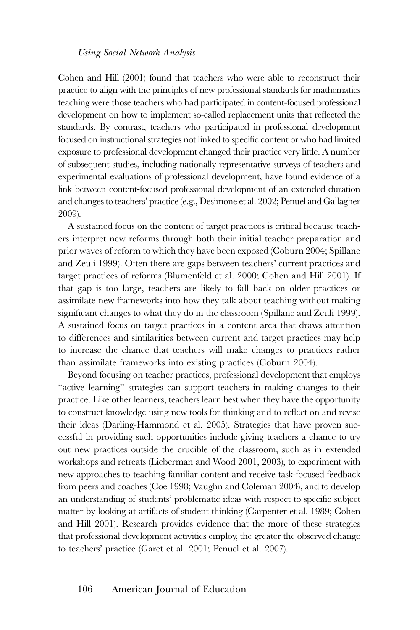Cohen and Hill (2001) found that teachers who were able to reconstruct their practice to align with the principles of new professional standards for mathematics teaching were those teachers who had participated in content-focused professional development on how to implement so-called replacement units that reflected the standards. By contrast, teachers who participated in professional development focused on instructional strategies not linked to specific content or who had limited exposure to professional development changed their practice very little. A number of subsequent studies, including nationally representative surveys of teachers and experimental evaluations of professional development, have found evidence of a link between content-focused professional development of an extended duration and changes to teachers' practice (e.g., Desimone et al. 2002; Penuel and Gallagher 2009).

A sustained focus on the content of target practices is critical because teachers interpret new reforms through both their initial teacher preparation and prior waves of reform to which they have been exposed (Coburn 2004; Spillane and Zeuli 1999). Often there are gaps between teachers' current practices and target practices of reforms (Blumenfeld et al. 2000; Cohen and Hill 2001). If that gap is too large, teachers are likely to fall back on older practices or assimilate new frameworks into how they talk about teaching without making significant changes to what they do in the classroom (Spillane and Zeuli 1999). A sustained focus on target practices in a content area that draws attention to differences and similarities between current and target practices may help to increase the chance that teachers will make changes to practices rather than assimilate frameworks into existing practices (Coburn 2004).

Beyond focusing on teacher practices, professional development that employs "active learning" strategies can support teachers in making changes to their practice. Like other learners, teachers learn best when they have the opportunity to construct knowledge using new tools for thinking and to reflect on and revise their ideas (Darling-Hammond et al. 2005). Strategies that have proven successful in providing such opportunities include giving teachers a chance to try out new practices outside the crucible of the classroom, such as in extended workshops and retreats (Lieberman and Wood 2001, 2003), to experiment with new approaches to teaching familiar content and receive task-focused feedback from peers and coaches (Coe 1998; Vaughn and Coleman 2004), and to develop an understanding of students' problematic ideas with respect to specific subject matter by looking at artifacts of student thinking (Carpenter et al. 1989; Cohen and Hill 2001). Research provides evidence that the more of these strategies that professional development activities employ, the greater the observed change to teachers' practice (Garet et al. 2001; Penuel et al. 2007).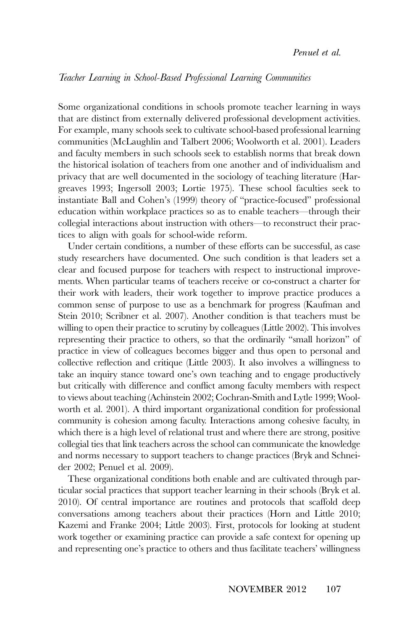# *Teacher Learning in School-Based Professional Learning Communities*

Some organizational conditions in schools promote teacher learning in ways that are distinct from externally delivered professional development activities. For example, many schools seek to cultivate school-based professional learning communities (McLaughlin and Talbert 2006; Woolworth et al. 2001). Leaders and faculty members in such schools seek to establish norms that break down the historical isolation of teachers from one another and of individualism and privacy that are well documented in the sociology of teaching literature (Hargreaves 1993; Ingersoll 2003; Lortie 1975). These school faculties seek to instantiate Ball and Cohen's (1999) theory of "practice-focused" professional education within workplace practices so as to enable teachers—through their collegial interactions about instruction with others—to reconstruct their practices to align with goals for school-wide reform.

Under certain conditions, a number of these efforts can be successful, as case study researchers have documented. One such condition is that leaders set a clear and focused purpose for teachers with respect to instructional improvements. When particular teams of teachers receive or co-construct a charter for their work with leaders, their work together to improve practice produces a common sense of purpose to use as a benchmark for progress (Kaufman and Stein 2010; Scribner et al. 2007). Another condition is that teachers must be willing to open their practice to scrutiny by colleagues (Little 2002). This involves representing their practice to others, so that the ordinarily "small horizon" of practice in view of colleagues becomes bigger and thus open to personal and collective reflection and critique (Little 2003). It also involves a willingness to take an inquiry stance toward one's own teaching and to engage productively but critically with difference and conflict among faculty members with respect to views about teaching (Achinstein 2002; Cochran-Smith and Lytle 1999; Woolworth et al. 2001). A third important organizational condition for professional community is cohesion among faculty. Interactions among cohesive faculty, in which there is a high level of relational trust and where there are strong, positive collegial ties that link teachers across the school can communicate the knowledge and norms necessary to support teachers to change practices (Bryk and Schneider 2002; Penuel et al. 2009).

These organizational conditions both enable and are cultivated through particular social practices that support teacher learning in their schools (Bryk et al. 2010). Of central importance are routines and protocols that scaffold deep conversations among teachers about their practices (Horn and Little 2010; Kazemi and Franke 2004; Little 2003). First, protocols for looking at student work together or examining practice can provide a safe context for opening up and representing one's practice to others and thus facilitate teachers' willingness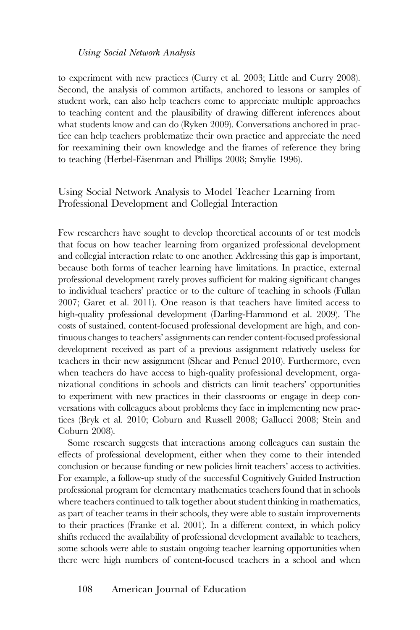to experiment with new practices (Curry et al. 2003; Little and Curry 2008). Second, the analysis of common artifacts, anchored to lessons or samples of student work, can also help teachers come to appreciate multiple approaches to teaching content and the plausibility of drawing different inferences about what students know and can do (Ryken 2009). Conversations anchored in practice can help teachers problematize their own practice and appreciate the need for reexamining their own knowledge and the frames of reference they bring to teaching (Herbel-Eisenman and Phillips 2008; Smylie 1996).

# Using Social Network Analysis to Model Teacher Learning from Professional Development and Collegial Interaction

Few researchers have sought to develop theoretical accounts of or test models that focus on how teacher learning from organized professional development and collegial interaction relate to one another. Addressing this gap is important, because both forms of teacher learning have limitations. In practice, external professional development rarely proves sufficient for making significant changes to individual teachers' practice or to the culture of teaching in schools (Fullan 2007; Garet et al. 2011). One reason is that teachers have limited access to high-quality professional development (Darling-Hammond et al. 2009). The costs of sustained, content-focused professional development are high, and continuous changes to teachers' assignments can render content-focused professional development received as part of a previous assignment relatively useless for teachers in their new assignment (Shear and Penuel 2010). Furthermore, even when teachers do have access to high-quality professional development, organizational conditions in schools and districts can limit teachers' opportunities to experiment with new practices in their classrooms or engage in deep conversations with colleagues about problems they face in implementing new practices (Bryk et al. 2010; Coburn and Russell 2008; Gallucci 2008; Stein and Coburn 2008).

Some research suggests that interactions among colleagues can sustain the effects of professional development, either when they come to their intended conclusion or because funding or new policies limit teachers' access to activities. For example, a follow-up study of the successful Cognitively Guided Instruction professional program for elementary mathematics teachers found that in schools where teachers continued to talk together about student thinking in mathematics, as part of teacher teams in their schools, they were able to sustain improvements to their practices (Franke et al. 2001). In a different context, in which policy shifts reduced the availability of professional development available to teachers, some schools were able to sustain ongoing teacher learning opportunities when there were high numbers of content-focused teachers in a school and when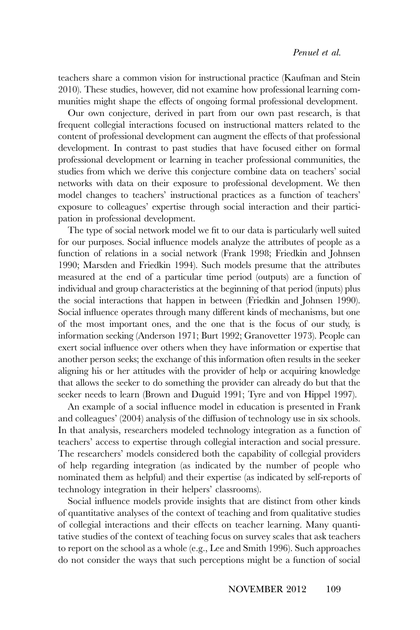teachers share a common vision for instructional practice (Kaufman and Stein 2010). These studies, however, did not examine how professional learning communities might shape the effects of ongoing formal professional development.

Our own conjecture, derived in part from our own past research, is that frequent collegial interactions focused on instructional matters related to the content of professional development can augment the effects of that professional development. In contrast to past studies that have focused either on formal professional development or learning in teacher professional communities, the studies from which we derive this conjecture combine data on teachers' social networks with data on their exposure to professional development. We then model changes to teachers' instructional practices as a function of teachers' exposure to colleagues' expertise through social interaction and their participation in professional development.

The type of social network model we fit to our data is particularly well suited for our purposes. Social influence models analyze the attributes of people as a function of relations in a social network (Frank 1998; Friedkin and Johnsen 1990; Marsden and Friedkin 1994). Such models presume that the attributes measured at the end of a particular time period (outputs) are a function of individual and group characteristics at the beginning of that period (inputs) plus the social interactions that happen in between (Friedkin and Johnsen 1990). Social influence operates through many different kinds of mechanisms, but one of the most important ones, and the one that is the focus of our study, is information seeking (Anderson 1971; Burt 1992; Granovetter 1973). People can exert social influence over others when they have information or expertise that another person seeks; the exchange of this information often results in the seeker aligning his or her attitudes with the provider of help or acquiring knowledge that allows the seeker to do something the provider can already do but that the seeker needs to learn (Brown and Duguid 1991; Tyre and von Hippel 1997).

An example of a social influence model in education is presented in Frank and colleagues' (2004) analysis of the diffusion of technology use in six schools. In that analysis, researchers modeled technology integration as a function of teachers' access to expertise through collegial interaction and social pressure. The researchers' models considered both the capability of collegial providers of help regarding integration (as indicated by the number of people who nominated them as helpful) and their expertise (as indicated by self-reports of technology integration in their helpers' classrooms).

Social influence models provide insights that are distinct from other kinds of quantitative analyses of the context of teaching and from qualitative studies of collegial interactions and their effects on teacher learning. Many quantitative studies of the context of teaching focus on survey scales that ask teachers to report on the school as a whole (e.g., Lee and Smith 1996). Such approaches do not consider the ways that such perceptions might be a function of social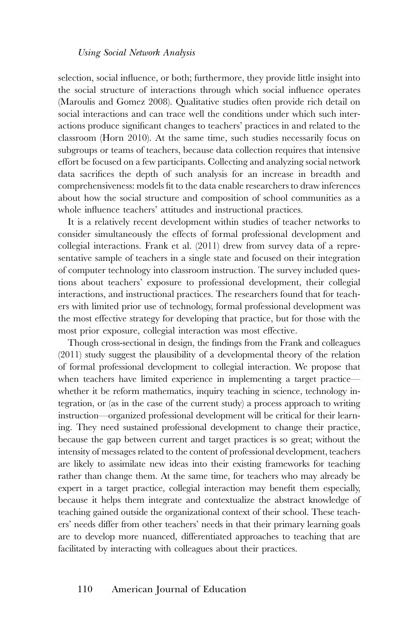selection, social influence, or both; furthermore, they provide little insight into the social structure of interactions through which social influence operates (Maroulis and Gomez 2008). Qualitative studies often provide rich detail on social interactions and can trace well the conditions under which such interactions produce significant changes to teachers' practices in and related to the classroom (Horn 2010). At the same time, such studies necessarily focus on subgroups or teams of teachers, because data collection requires that intensive effort be focused on a few participants. Collecting and analyzing social network data sacrifices the depth of such analysis for an increase in breadth and comprehensiveness: models fit to the data enable researchers to draw inferences about how the social structure and composition of school communities as a whole influence teachers' attitudes and instructional practices.

It is a relatively recent development within studies of teacher networks to consider simultaneously the effects of formal professional development and collegial interactions. Frank et al. (2011) drew from survey data of a representative sample of teachers in a single state and focused on their integration of computer technology into classroom instruction. The survey included questions about teachers' exposure to professional development, their collegial interactions, and instructional practices. The researchers found that for teachers with limited prior use of technology, formal professional development was the most effective strategy for developing that practice, but for those with the most prior exposure, collegial interaction was most effective.

Though cross-sectional in design, the findings from the Frank and colleagues (2011) study suggest the plausibility of a developmental theory of the relation of formal professional development to collegial interaction. We propose that when teachers have limited experience in implementing a target practice whether it be reform mathematics, inquiry teaching in science, technology integration, or (as in the case of the current study) a process approach to writing instruction—organized professional development will be critical for their learning. They need sustained professional development to change their practice, because the gap between current and target practices is so great; without the intensity of messages related to the content of professional development, teachers are likely to assimilate new ideas into their existing frameworks for teaching rather than change them. At the same time, for teachers who may already be expert in a target practice, collegial interaction may benefit them especially, because it helps them integrate and contextualize the abstract knowledge of teaching gained outside the organizational context of their school. These teachers' needs differ from other teachers' needs in that their primary learning goals are to develop more nuanced, differentiated approaches to teaching that are facilitated by interacting with colleagues about their practices.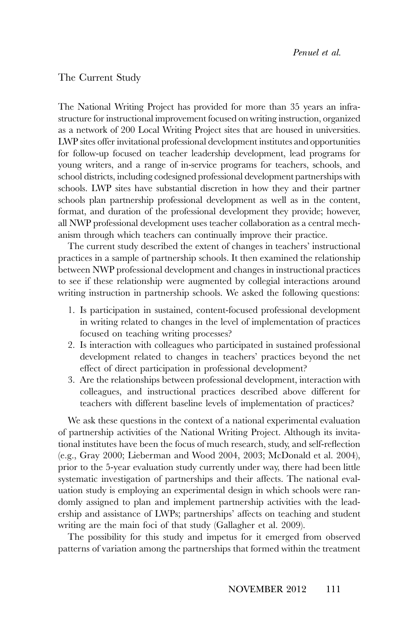## The Current Study

The National Writing Project has provided for more than 35 years an infrastructure for instructional improvement focused on writing instruction, organized as a network of 200 Local Writing Project sites that are housed in universities. LWP sites offer invitational professional development institutes and opportunities for follow-up focused on teacher leadership development, lead programs for young writers, and a range of in-service programs for teachers, schools, and school districts, including codesigned professional development partnerships with schools. LWP sites have substantial discretion in how they and their partner schools plan partnership professional development as well as in the content, format, and duration of the professional development they provide; however, all NWP professional development uses teacher collaboration as a central mechanism through which teachers can continually improve their practice.

The current study described the extent of changes in teachers' instructional practices in a sample of partnership schools. It then examined the relationship between NWP professional development and changes in instructional practices to see if these relationship were augmented by collegial interactions around writing instruction in partnership schools. We asked the following questions:

- 1. Is participation in sustained, content-focused professional development in writing related to changes in the level of implementation of practices focused on teaching writing processes?
- 2. Is interaction with colleagues who participated in sustained professional development related to changes in teachers' practices beyond the net effect of direct participation in professional development?
- 3. Are the relationships between professional development, interaction with colleagues, and instructional practices described above different for teachers with different baseline levels of implementation of practices?

We ask these questions in the context of a national experimental evaluation of partnership activities of the National Writing Project. Although its invitational institutes have been the focus of much research, study, and self-reflection (e.g., Gray 2000; Lieberman and Wood 2004, 2003; McDonald et al. 2004), prior to the 5-year evaluation study currently under way, there had been little systematic investigation of partnerships and their affects. The national evaluation study is employing an experimental design in which schools were randomly assigned to plan and implement partnership activities with the leadership and assistance of LWPs; partnerships' affects on teaching and student writing are the main foci of that study (Gallagher et al. 2009).

The possibility for this study and impetus for it emerged from observed patterns of variation among the partnerships that formed within the treatment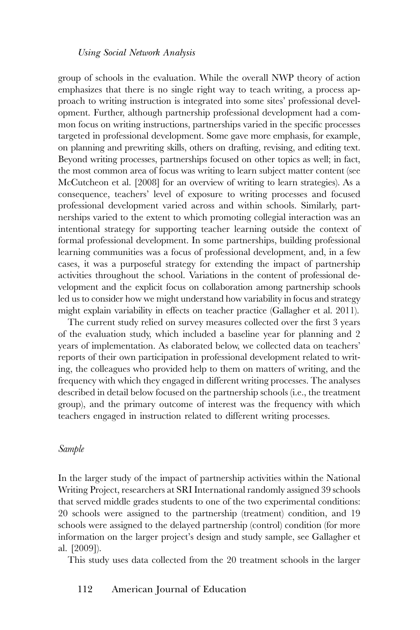group of schools in the evaluation. While the overall NWP theory of action emphasizes that there is no single right way to teach writing, a process approach to writing instruction is integrated into some sites' professional development. Further, although partnership professional development had a common focus on writing instructions, partnerships varied in the specific processes targeted in professional development. Some gave more emphasis, for example, on planning and prewriting skills, others on drafting, revising, and editing text. Beyond writing processes, partnerships focused on other topics as well; in fact, the most common area of focus was writing to learn subject matter content (see McCutcheon et al. [2008] for an overview of writing to learn strategies). As a consequence, teachers' level of exposure to writing processes and focused professional development varied across and within schools. Similarly, partnerships varied to the extent to which promoting collegial interaction was an intentional strategy for supporting teacher learning outside the context of formal professional development. In some partnerships, building professional learning communities was a focus of professional development, and, in a few cases, it was a purposeful strategy for extending the impact of partnership activities throughout the school. Variations in the content of professional development and the explicit focus on collaboration among partnership schools led us to consider how we might understand how variability in focus and strategy might explain variability in effects on teacher practice (Gallagher et al. 2011).

The current study relied on survey measures collected over the first 3 years of the evaluation study, which included a baseline year for planning and 2 years of implementation. As elaborated below, we collected data on teachers' reports of their own participation in professional development related to writing, the colleagues who provided help to them on matters of writing, and the frequency with which they engaged in different writing processes. The analyses described in detail below focused on the partnership schools (i.e., the treatment group), and the primary outcome of interest was the frequency with which teachers engaged in instruction related to different writing processes.

# *Sample*

In the larger study of the impact of partnership activities within the National Writing Project, researchers at SRI International randomly assigned 39 schools that served middle grades students to one of the two experimental conditions: 20 schools were assigned to the partnership (treatment) condition, and 19 schools were assigned to the delayed partnership (control) condition (for more information on the larger project's design and study sample, see Gallagher et al. [2009]).

This study uses data collected from the 20 treatment schools in the larger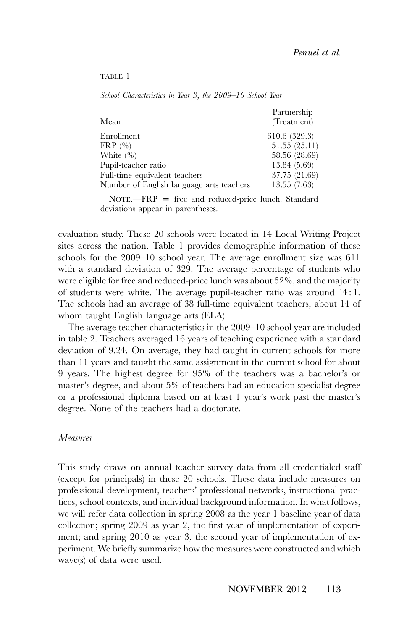TABLE 1

*School Characteristics in Year 3, the 2009–10 School Year*

| Mean                                     | Partnership<br>(Treatment) |
|------------------------------------------|----------------------------|
| Enrollment                               | 610.6 (329.3)              |
| FRP (%)                                  | 51.55(25.11)               |
| White $(\% )$                            | 58.56 (28.69)              |
| Pupil-teacher ratio                      | 13.84(5.69)                |
| Full-time equivalent teachers            | 37.75 (21.69)              |
| Number of English language arts teachers | 13.55(7.63)                |

 $NOTE. - FRP = free and reduced-price lunch. Standard$ deviations appear in parentheses.

evaluation study. These 20 schools were located in 14 Local Writing Project sites across the nation. Table 1 provides demographic information of these schools for the 2009–10 school year. The average enrollment size was 611 with a standard deviation of 329. The average percentage of students who were eligible for free and reduced-price lunch was about 52%, and the majority of students were white. The average pupil-teacher ratio was around  $14:1$ . The schools had an average of 38 full-time equivalent teachers, about 14 of whom taught English language arts (ELA).

The average teacher characteristics in the 2009–10 school year are included in table 2. Teachers averaged 16 years of teaching experience with a standard deviation of 9.24. On average, they had taught in current schools for more than 11 years and taught the same assignment in the current school for about 9 years. The highest degree for 95% of the teachers was a bachelor's or master's degree, and about 5% of teachers had an education specialist degree or a professional diploma based on at least 1 year's work past the master's degree. None of the teachers had a doctorate.

## *Measures*

This study draws on annual teacher survey data from all credentialed staff (except for principals) in these 20 schools. These data include measures on professional development, teachers' professional networks, instructional practices, school contexts, and individual background information. In what follows, we will refer data collection in spring 2008 as the year 1 baseline year of data collection; spring 2009 as year 2, the first year of implementation of experiment; and spring 2010 as year 3, the second year of implementation of experiment. We briefly summarize how the measures were constructed and which wave(s) of data were used.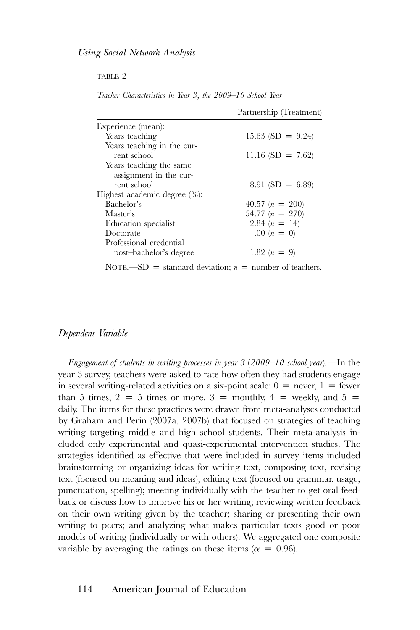#### TABLE 2

|  | Teacher Characteristics in Year 3, the 2009–10 School Year |  |  |  |  |  |  |  |  |
|--|------------------------------------------------------------|--|--|--|--|--|--|--|--|
|--|------------------------------------------------------------|--|--|--|--|--|--|--|--|

|                                   | Partnership (Treatment) |
|-----------------------------------|-------------------------|
| Experience (mean):                |                         |
| Years teaching                    | $15.63$ (SD = 9.24)     |
| Years teaching in the cur-        |                         |
| rent school                       | $11.16(SD = 7.62)$      |
| Years teaching the same           |                         |
| assignment in the cur-            |                         |
| rent school                       | $8.91(SD = 6.89)$       |
| Highest academic degree $(\% )$ : |                         |
| Bachelor's                        | $40.57(n = 200)$        |
| Master's                          | 54.77 $(n = 270)$       |
| Education specialist              | 2.84 $(n = 14)$         |
| Doctorate                         | $.00(n = 0)$            |
| Professional credential           |                         |
| post-bachelor's degree            | 1.82 $(n = 9)$          |

NOTE.—SD = standard deviation;  $n =$  number of teachers.

#### *Dependent Variable*

*Engagement of students in writing processes in year 3* (*2009–10 school year*)*.—*In the year 3 survey, teachers were asked to rate how often they had students engage in several writing-related activities on a six-point scale:  $0 =$  never,  $1 =$  fewer than 5 times,  $2 = 5$  times or more,  $3 =$  monthly,  $4 =$  weekly, and  $5 =$ daily. The items for these practices were drawn from meta-analyses conducted by Graham and Perin (2007a, 2007b) that focused on strategies of teaching writing targeting middle and high school students. Their meta-analysis included only experimental and quasi-experimental intervention studies. The strategies identified as effective that were included in survey items included brainstorming or organizing ideas for writing text, composing text, revising text (focused on meaning and ideas); editing text (focused on grammar, usage, punctuation, spelling); meeting individually with the teacher to get oral feedback or discuss how to improve his or her writing; reviewing written feedback on their own writing given by the teacher; sharing or presenting their own writing to peers; and analyzing what makes particular texts good or poor models of writing (individually or with others). We aggregated one composite variable by averaging the ratings on these items ( $\alpha = 0.96$ ).

# 114 American Journal of Education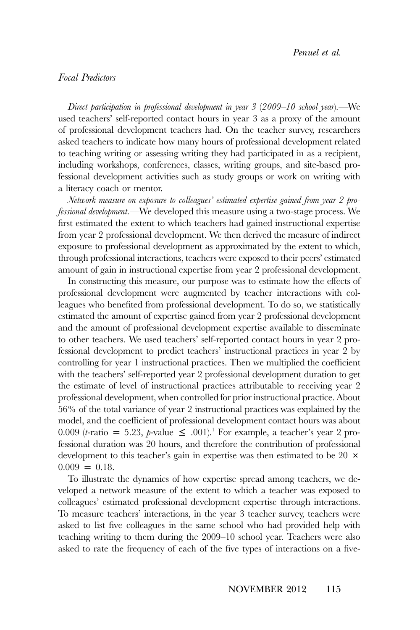# *Focal Predictors*

*Direct participation in professional development in year 3* (*2009–10 school year*)*.—*We used teachers' self-reported contact hours in year 3 as a proxy of the amount of professional development teachers had. On the teacher survey, researchers asked teachers to indicate how many hours of professional development related to teaching writing or assessing writing they had participated in as a recipient, including workshops, conferences, classes, writing groups, and site-based professional development activities such as study groups or work on writing with a literacy coach or mentor.

*Network measure on exposure to colleagues' estimated expertise gained from year 2 professional development.—*We developed this measure using a two-stage process. We first estimated the extent to which teachers had gained instructional expertise from year 2 professional development. We then derived the measure of indirect exposure to professional development as approximated by the extent to which, through professional interactions, teachers were exposed to their peers' estimated amount of gain in instructional expertise from year 2 professional development.

In constructing this measure, our purpose was to estimate how the effects of professional development were augmented by teacher interactions with colleagues who benefited from professional development. To do so, we statistically estimated the amount of expertise gained from year 2 professional development and the amount of professional development expertise available to disseminate to other teachers. We used teachers' self-reported contact hours in year 2 professional development to predict teachers' instructional practices in year 2 by controlling for year 1 instructional practices. Then we multiplied the coefficient with the teachers' self-reported year 2 professional development duration to get the estimate of level of instructional practices attributable to receiving year 2 professional development, when controlled for prior instructional practice. About 56% of the total variance of year 2 instructional practices was explained by the model, and the coefficient of professional development contact hours was about 0.009 (*t*-ratio = 5.23, *p*-value  $\leq$  .001).<sup>1</sup> For example, a teacher's year 2 professional duration was 20 hours, and therefore the contribution of professional development to this teacher's gain in expertise was then estimated to be 20  $\times$  $0.009 = 0.18.$ 

To illustrate the dynamics of how expertise spread among teachers, we developed a network measure of the extent to which a teacher was exposed to colleagues' estimated professional development expertise through interactions. To measure teachers' interactions, in the year 3 teacher survey, teachers were asked to list five colleagues in the same school who had provided help with teaching writing to them during the 2009–10 school year. Teachers were also asked to rate the frequency of each of the five types of interactions on a five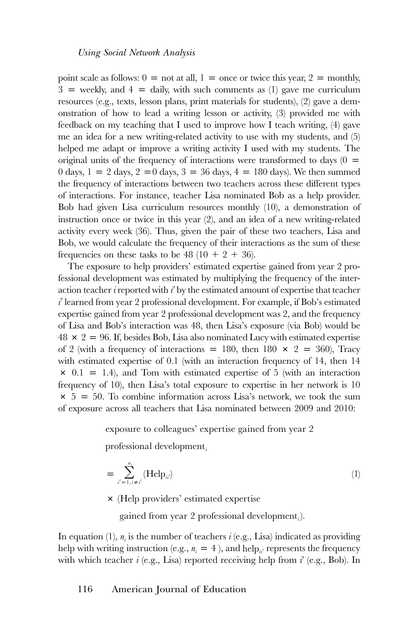point scale as follows:  $0 = \text{not at all}, 1 = \text{once or twice this year}, 2 = \text{monthly},$  $3 =$  weekly, and  $4 =$  daily, with such comments as (1) gave me curriculum resources (e.g., texts, lesson plans, print materials for students), (2) gave a demonstration of how to lead a writing lesson or activity, (3) provided me with feedback on my teaching that I used to improve how I teach writing, (4) gave me an idea for a new writing-related activity to use with my students, and (5) helped me adapt or improve a writing activity I used with my students. The original units of the frequency of interactions were transformed to days  $(0 =$ 0 days,  $1 = 2$  days,  $2 = 0$  days,  $3 = 36$  days,  $4 = 180$  days). We then summed the frequency of interactions between two teachers across these different types of interactions. For instance, teacher Lisa nominated Bob as a help provider. Bob had given Lisa curriculum resources monthly (10), a demonstration of instruction once or twice in this year (2), and an idea of a new writing-related activity every week (36). Thus, given the pair of these two teachers, Lisa and Bob, we would calculate the frequency of their interactions as the sum of these frequencies on these tasks to be  $48(10 + 2 + 36)$ .

The exposure to help providers' estimated expertise gained from year 2 professional development was estimated by multiplying the frequency of the interaction teacher *i* reported with *i* by the estimated amount of expertise that teacher *i* learned from year 2 professional development. For example, if Bob's estimated expertise gained from year 2 professional development was 2, and the frequency of Lisa and Bob's interaction was 48, then Lisa's exposure (via Bob) would be  $48 \times 2 = 96$ . If, besides Bob, Lisa also nominated Lucy with estimated expertise of 2 (with a frequency of interactions = 180, then 180  $\times$  2 = 360), Tracy with estimated expertise of 0.1 (with an interaction frequency of 14, then 14  $\times$  0.1 = 1.4), and Tom with estimated expertise of 5 (with an interaction frequency of 10), then Lisa's total exposure to expertise in her network is 10  $\times$  5 = 50. To combine information across Lisa's network, we took the sum of exposure across all teachers that Lisa nominated between 2009 and 2010:

exposure to colleagues' expertise gained from year 2

professional development*<sup>i</sup>*

$$
=\sum_{i'=1,\,i\neq i'}^{n_i}(\text{Help}_{ii'})\tag{1}
$$

 $\times$  (Help providers' estimated expertise

gained from year 2 professional development,).

In equation (1),  $n_i$  is the number of teachers  $i$  (e.g., Lisa) indicated as providing help with writing instruction (e.g.,  $n_i = 4$ ), and help<sub>*ii*</sub> represents the frequency with which teacher *i* (e.g., Lisa) reported receiving help from *i* (e.g., Bob). In

# 116 American Journal of Education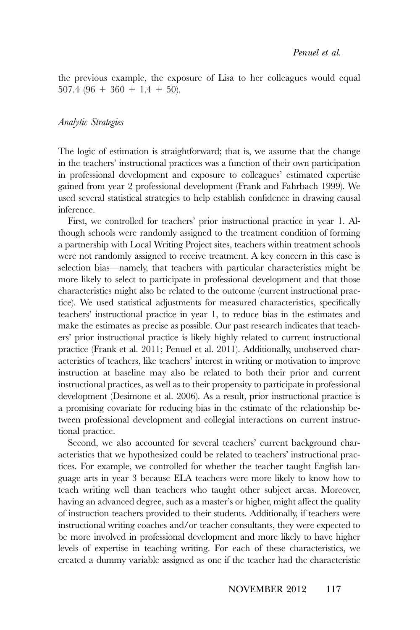the previous example, the exposure of Lisa to her colleagues would equal  $507.4$  (96 + 360 + 1.4 + 50).

# *Analytic Strategies*

The logic of estimation is straightforward; that is, we assume that the change in the teachers' instructional practices was a function of their own participation in professional development and exposure to colleagues' estimated expertise gained from year 2 professional development (Frank and Fahrbach 1999). We used several statistical strategies to help establish confidence in drawing causal inference.

First, we controlled for teachers' prior instructional practice in year 1. Although schools were randomly assigned to the treatment condition of forming a partnership with Local Writing Project sites, teachers within treatment schools were not randomly assigned to receive treatment. A key concern in this case is selection bias—namely, that teachers with particular characteristics might be more likely to select to participate in professional development and that those characteristics might also be related to the outcome (current instructional practice). We used statistical adjustments for measured characteristics, specifically teachers' instructional practice in year 1, to reduce bias in the estimates and make the estimates as precise as possible. Our past research indicates that teachers' prior instructional practice is likely highly related to current instructional practice (Frank et al. 2011; Penuel et al. 2011). Additionally, unobserved characteristics of teachers, like teachers' interest in writing or motivation to improve instruction at baseline may also be related to both their prior and current instructional practices, as well as to their propensity to participate in professional development (Desimone et al. 2006). As a result, prior instructional practice is a promising covariate for reducing bias in the estimate of the relationship between professional development and collegial interactions on current instructional practice.

Second, we also accounted for several teachers' current background characteristics that we hypothesized could be related to teachers' instructional practices. For example, we controlled for whether the teacher taught English language arts in year 3 because ELA teachers were more likely to know how to teach writing well than teachers who taught other subject areas. Moreover, having an advanced degree, such as a master's or higher, might affect the quality of instruction teachers provided to their students. Additionally, if teachers were instructional writing coaches and/or teacher consultants, they were expected to be more involved in professional development and more likely to have higher levels of expertise in teaching writing. For each of these characteristics, we created a dummy variable assigned as one if the teacher had the characteristic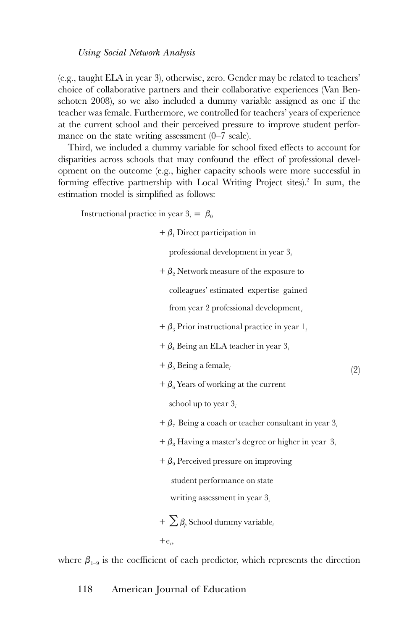(e.g., taught ELA in year 3), otherwise, zero. Gender may be related to teachers' choice of collaborative partners and their collaborative experiences (Van Benschoten 2008), so we also included a dummy variable assigned as one if the teacher was female. Furthermore, we controlled for teachers' years of experience at the current school and their perceived pressure to improve student performance on the state writing assessment (0–7 scale).

Third, we included a dummy variable for school fixed effects to account for disparities across schools that may confound the effect of professional development on the outcome (e.g., higher capacity schools were more successful in forming effective partnership with Local Writing Project sites).<sup>2</sup> In sum, the estimation model is simplified as follows:

Instructional practice in year  $3_i = \beta_0$ 

 $+ \beta_1$  Direct participation in

professional development in year 3*<sup>i</sup>*

 $+ \beta_2$  Network measure of the exposure to

colleagues' estimated expertise gained

from year 2 professional development*<sup>i</sup>*

- $+ \beta_3$  Prior instructional practice in year  $1_i$
- +  $\beta$ <sub>4</sub> Being an ELA teacher in year 3<sub>*i*</sub>
- $+ \beta_5$  Being a female<sub>*i*</sub> (2)
- $+ \beta_6$  Years of working at the current

school up to year 3*<sup>i</sup>*

- $+ \beta_7$  Being a coach or teacher consultant in year 3<sub>*i*</sub>
- $+ \beta_8$  Having a master's degree or higher in year  $3_i$
- $+ \beta_9$  Perceived pressure on improving

student performance on state

writing assessment in year  $3<sub>i</sub>$ 

 $+ \sum \beta_{\scriptscriptstyle p}$  School dummy variable<sub>i</sub>  $+e_i,$ 

where  $\beta_{1-9}$  is the coefficient of each predictor, which represents the direction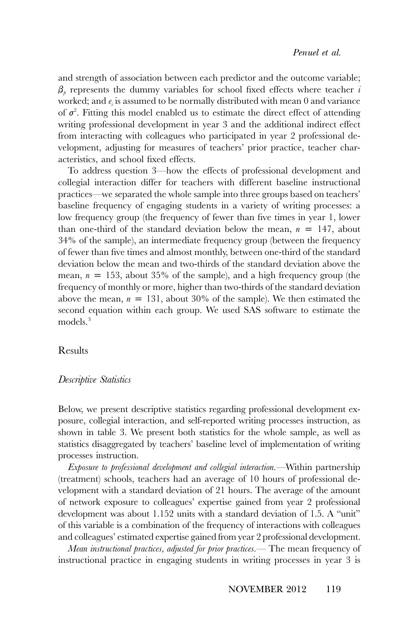and strength of association between each predictor and the outcome variable;  $\beta_n$  represents the dummy variables for school fixed effects where teacher *i* worked; and *ei* is assumed to be normally distributed with mean 0 and variance of  $\sigma^2$ . Fitting this model enabled us to estimate the direct effect of attending writing professional development in year 3 and the additional indirect effect from interacting with colleagues who participated in year 2 professional development, adjusting for measures of teachers' prior practice, teacher characteristics, and school fixed effects.

To address question 3—how the effects of professional development and collegial interaction differ for teachers with different baseline instructional practices—we separated the whole sample into three groups based on teachers' baseline frequency of engaging students in a variety of writing processes: a low frequency group (the frequency of fewer than five times in year 1, lower than one-third of the standard deviation below the mean,  $n = 147$ , about 34% of the sample), an intermediate frequency group (between the frequency of fewer than five times and almost monthly, between one-third of the standard deviation below the mean and two-thirds of the standard deviation above the mean,  $n = 153$ , about 35% of the sample), and a high frequency group (the frequency of monthly or more, higher than two-thirds of the standard deviation above the mean,  $n = 131$ , about 30% of the sample). We then estimated the second equation within each group. We used SAS software to estimate the models<sup>3</sup>

#### Results

### *Descriptive Statistics*

Below, we present descriptive statistics regarding professional development exposure, collegial interaction, and self-reported writing processes instruction, as shown in table 3. We present both statistics for the whole sample, as well as statistics disaggregated by teachers' baseline level of implementation of writing processes instruction.

*Exposure to professional development and collegial interaction.—*Within partnership (treatment) schools, teachers had an average of 10 hours of professional development with a standard deviation of 21 hours. The average of the amount of network exposure to colleagues' expertise gained from year 2 professional development was about 1.152 units with a standard deviation of 1.5. A "unit" of this variable is a combination of the frequency of interactions with colleagues and colleagues' estimated expertise gained from year 2 professional development.

*Mean instructional practices, adjusted for prior practices.—* The mean frequency of instructional practice in engaging students in writing processes in year 3 is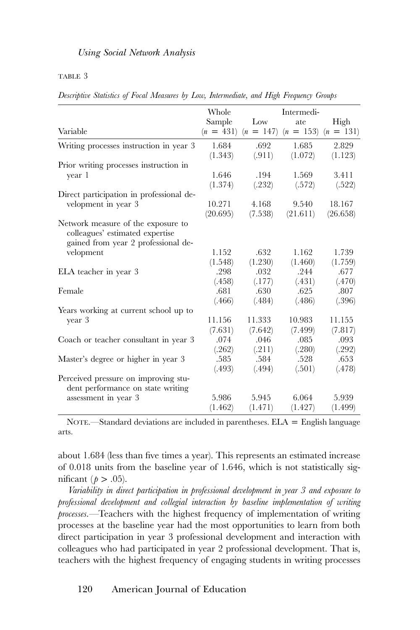#### TABLE 3

*Descriptive Statistics of Focal Measures by Low, Intermediate, and High Frequency Groups*

|                                          | Whole       |         | Intermedi-                          |          |
|------------------------------------------|-------------|---------|-------------------------------------|----------|
|                                          | Sample      | Low     | ate                                 | High     |
| Variable                                 | $(n = 431)$ |         | $(n = 147)$ $(n = 153)$ $(n = 131)$ |          |
| Writing processes instruction in year 3  | 1.684       | .692    | 1.685                               | 2.829    |
|                                          | (1.343)     | (.911)  | (1.072)                             | (1.123)  |
| Prior writing processes instruction in   |             |         |                                     |          |
| vear 1                                   | 1.646       | .194    | 1.569                               | 3.411    |
|                                          | (1.374)     | (.232)  | (.572)                              | (.522)   |
| Direct participation in professional de- |             |         |                                     |          |
| velopment in year 3                      | 10.271      | 4.168   | 9.540                               | 18.167   |
|                                          | (20.695)    | (7.538) | (21.611)                            | (26.658) |
| Network measure of the exposure to       |             |         |                                     |          |
| colleagues' estimated expertise          |             |         |                                     |          |
| gained from year 2 professional de-      |             |         |                                     |          |
| velopment                                | 1.152       | .632    | 1.162                               | 1.739    |
|                                          | (1.548)     | (1.230) | (1.460)                             | (1.759)  |
| ELA teacher in year 3                    | .298        | .032    | .244                                | .677     |
|                                          | (.458)      | (.177)  | (.431)                              | (.470)   |
| Female                                   | .681        | .630    | .625                                | .807     |
|                                          | (.466)      | (.484)  | (.486)                              | (.396)   |
| Years working at current school up to    |             |         |                                     |          |
| year 3                                   | 11.156      | 11.333  | 10.983                              | 11.155   |
|                                          | (7.631)     | (7.642) | (7.499)                             | (7.817)  |
| Coach or teacher consultant in year 3    | .074        | .046    | .085                                | .093     |
|                                          | (.262)      | (.211)  | (.280)                              | (.292)   |
| Master's degree or higher in year 3      | .585        | .584    | .528                                | .653     |
|                                          | (.493)      | (.494)  | (.501)                              | (.478)   |
| Perceived pressure on improving stu-     |             |         |                                     |          |
| dent performance on state writing        |             |         |                                     |          |
| assessment in year 3                     | 5.986       | 5.945   | 6.064                               | 5.939    |
|                                          | (1.462)     | (1.471) | (1.427)                             | (1.499)  |

NOTE.—Standard deviations are included in parentheses.  $ELA =$  English language arts.

about 1.684 (less than five times a year). This represents an estimated increase of 0.018 units from the baseline year of 1.646, which is not statistically significant ( $p > .05$ ).

*Variability in direct participation in professional development in year 3 and exposure to professional development and collegial interaction by baseline implementation of writing processes.—*Teachers with the highest frequency of implementation of writing processes at the baseline year had the most opportunities to learn from both direct participation in year 3 professional development and interaction with colleagues who had participated in year 2 professional development. That is, teachers with the highest frequency of engaging students in writing processes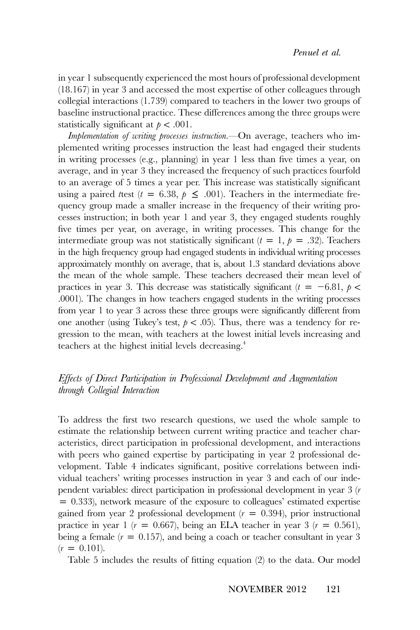in year 1 subsequently experienced the most hours of professional development (18.167) in year 3 and accessed the most expertise of other colleagues through collegial interactions (1.739) compared to teachers in the lower two groups of baseline instructional practice. These differences among the three groups were statistically significant at  $p < .001$ .

*Implementation of writing processes instruction.—*On average, teachers who implemented writing processes instruction the least had engaged their students in writing processes (e.g., planning) in year 1 less than five times a year, on average, and in year 3 they increased the frequency of such practices fourfold to an average of 5 times a year per. This increase was statistically significant using a paired *t*test ( $t = 6.38$ ,  $p \le .001$ ). Teachers in the intermediate frequency group made a smaller increase in the frequency of their writing processes instruction; in both year 1 and year 3, they engaged students roughly five times per year, on average, in writing processes. This change for the intermediate group was not statistically significant  $(t = 1, p = .32)$ . Teachers in the high frequency group had engaged students in individual writing processes approximately monthly on average, that is, about 1.3 standard deviations above the mean of the whole sample. These teachers decreased their mean level of practices in year 3. This decrease was statistically significant  $(t = -6.81, p <$ .0001). The changes in how teachers engaged students in the writing processes from year 1 to year 3 across these three groups were significantly different from one another (using Tukey's test,  $p < .05$ ). Thus, there was a tendency for regression to the mean, with teachers at the lowest initial levels increasing and teachers at the highest initial levels decreasing.4

# *Effects of Direct Participation in Professional Development and Augmentation through Collegial Interaction*

To address the first two research questions, we used the whole sample to estimate the relationship between current writing practice and teacher characteristics, direct participation in professional development, and interactions with peers who gained expertise by participating in year 2 professional development. Table 4 indicates significant, positive correlations between individual teachers' writing processes instruction in year 3 and each of our independent variables: direct participation in professional development in year 3 (*r*  $p = 0.333$ , network measure of the exposure to colleagues' estimated expertise gained from year 2 professional development  $(r = 0.394)$ , prior instructional practice in year 1 ( $r = 0.667$ ), being an ELA teacher in year 3 ( $r = 0.561$ ), being a female  $(r = 0.157)$ , and being a coach or teacher consultant in year 3  $(r = 0.101)$ .

Table 5 includes the results of fitting equation (2) to the data. Our model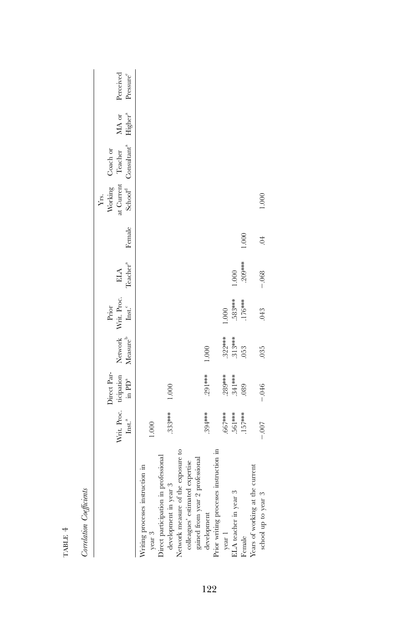|                                        |                                | Direct Par-            |                        | Prior                                |                      |                     | Yrs.  | Working Coach or                            |                     |           |
|----------------------------------------|--------------------------------|------------------------|------------------------|--------------------------------------|----------------------|---------------------|-------|---------------------------------------------|---------------------|-----------|
|                                        |                                | Writ. Proc. ticipation |                        |                                      | ELA                  |                     |       | at Current Teacher                          | $\rm MA$ or         | Perceived |
|                                        | $\operatorname{Inst}^a$        | in $PD^a$              |                        | Network Writ. Proc.<br>Measure Inst. | Teacher <sup>a</sup> | Female              |       | School <sup>d</sup> Consultant <sup>a</sup> | Higher <sup>a</sup> | Pressure  |
| Writing processes instruction in       |                                |                        |                        |                                      |                      |                     |       |                                             |                     |           |
| year 3                                 | 1.000                          |                        |                        |                                      |                      |                     |       |                                             |                     |           |
| Direct participation in professional   |                                |                        |                        |                                      |                      |                     |       |                                             |                     |           |
| development in year 3                  | .333***                        | 1.000                  |                        |                                      |                      |                     |       |                                             |                     |           |
| Network measure of the exposure to     |                                |                        |                        |                                      |                      |                     |       |                                             |                     |           |
| colleagues' estimated expertise        |                                |                        |                        |                                      |                      |                     |       |                                             |                     |           |
| gained from year 2 professional        |                                |                        |                        |                                      |                      |                     |       |                                             |                     |           |
| development                            | .394 ***                       | .291 ***               | 1.000                  |                                      |                      |                     |       |                                             |                     |           |
| Prior writing processes instruction in |                                |                        |                        |                                      |                      |                     |       |                                             |                     |           |
| year 1                                 |                                | $.289***$<br>$.341***$ | $.322***$<br>$.313***$ | 1.000                                |                      |                     |       |                                             |                     |           |
| ELA teacher in year 3                  | .667***<br>.561****<br>.157*** |                        |                        | .583***                              | .000                 |                     |       |                                             |                     |           |
| Female                                 |                                | 089                    | 053                    | .176***                              | 209***               | 1.000               |       |                                             |                     |           |
| Years of working at the current        |                                |                        |                        |                                      |                      |                     |       |                                             |                     |           |
| school up to year 3                    | $-0.007$                       | $-0.046$               | .035                   | .043                                 | $-068$               | $\ddot{\mathrm{c}}$ | 1.000 |                                             |                     |           |
|                                        |                                |                        |                        |                                      |                      |                     |       |                                             |                     |           |

**Correlation Coefficients** TABLE 4

*Correlation Coefficients*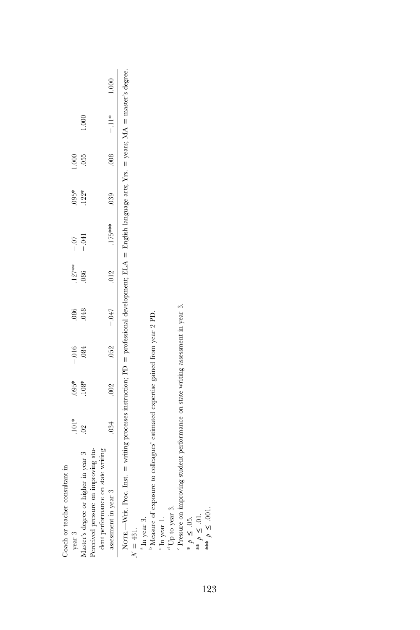| Coach or teacher consultant in                                                                                                                                       |        |         |         |      |           |                                        |         |               |          |       |
|----------------------------------------------------------------------------------------------------------------------------------------------------------------------|--------|---------|---------|------|-----------|----------------------------------------|---------|---------------|----------|-------|
| year 3                                                                                                                                                               | $101*$ | $0.05*$ | $-.016$ | .086 | $.127***$ | $-0.7$                                 | $095*$  | $\frac{8}{1}$ |          |       |
| Master's degree or higher in year 3                                                                                                                                  |        | $.108*$ |         | 048  | 086       | $-.041$                                | $.122*$ | 055           | .<br>00C |       |
| Perceived pressure on improving str                                                                                                                                  |        |         |         |      |           |                                        |         |               |          |       |
| dent performance on state writing                                                                                                                                    |        |         |         |      |           |                                        |         |               |          |       |
| assessment in year 3                                                                                                                                                 | .034   | .002    |         |      |           | $-0.52$ $-175$ **** 175.12 $-175$ **** |         |               | $-11*$   | 1.000 |
| NOTE.—Writ. Proc. Inst. = writing processes instruction; PD = professional development; ELA = English language arts; Yrs. = years; MA = master's degree<br>$N = 431$ |        |         |         |      |           |                                        |         |               |          |       |

a In year 3.<br>b Measure<br>c In year 1.<br>d Up to yea<br>c n

Measure of exposure to colleagues' estimated expertise gained from year 2 PD.

Up to year 3.

Pressure on improving student performance on state writing assessment in year 3.

*p* ≤ .05.

\*  $p \le 0.05$ .<br>\*\*  $p \le 0.01$ .<br>\*\*\*  $p \le 0.001$ . \*\* *p* ≤ .01.

\*\*\* *p* ≤ .001.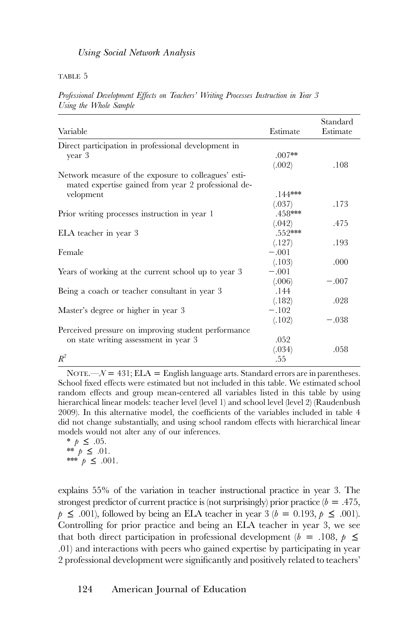TABLE 5

*Professional Development Effects on Teachers' Writing Processes Instruction in Year 3 Using the Whole Sample*

| Variable                                             | Estimate  | Standard<br>Estimate |
|------------------------------------------------------|-----------|----------------------|
| Direct participation in professional development in  |           |                      |
| year 3                                               | $.007**$  |                      |
|                                                      | (.002)    | .108                 |
| Network measure of the exposure to colleagues' esti- |           |                      |
| mated expertise gained from year 2 professional de-  |           |                      |
| velopment                                            | $.144***$ |                      |
|                                                      | (.037)    | .173                 |
| Prior writing processes instruction in year 1        | .458***   |                      |
|                                                      | (.042)    | .475                 |
| ELA teacher in year 3                                | .552***   |                      |
|                                                      | (.127)    | .193                 |
| Female                                               | $-.001$   |                      |
|                                                      | (.103)    | .000                 |
| Years of working at the current school up to year 3  | $-.001$   |                      |
|                                                      | (.006)    | $-.007$              |
| Being a coach or teacher consultant in year 3        | .144      |                      |
|                                                      | (.182)    | .028                 |
| Master's degree or higher in year 3                  | $-.102$   |                      |
|                                                      | (.102)    | $-.038$              |
| Perceived pressure on improving student performance  |           |                      |
| on state writing assessment in year 3                | .052      |                      |
|                                                      | (.034)    | .058                 |
| $R^2$                                                | .55       |                      |

NOTE.— $\mathcal{N} = 431$ ; ELA = English language arts. Standard errors are in parentheses. School fixed effects were estimated but not included in this table. We estimated school random effects and group mean-centered all variables listed in this table by using hierarchical linear models: teacher level (level 1) and school level (level 2) (Raudenbush 2009). In this alternative model, the coefficients of the variables included in table 4 did not change substantially, and using school random effects with hierarchical linear models would not alter any of our inferences.

\* *p* ≤ .05. \*\* *p* ≤ .01. \*\*\* *p* ≤ .001.

explains 55% of the variation in teacher instructional practice in year 3. The strongest predictor of current practice is (not surprisingly) prior practice ( $b = .475$ ,  $p \leq .001$ , followed by being an ELA teacher in year 3 ( $b = 0.193$ ,  $p \leq .001$ ). Controlling for prior practice and being an ELA teacher in year 3, we see that both direct participation in professional development ( $b = .108$ ,  $p \le$ .01) and interactions with peers who gained expertise by participating in year 2 professional development were significantly and positively related to teachers'

# 124 American Journal of Education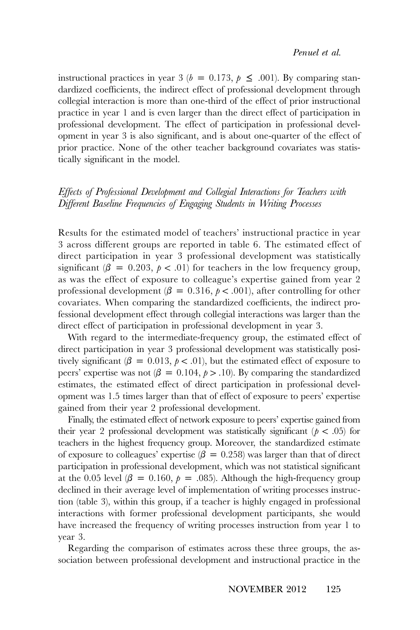instructional practices in year 3 ( $b = 0.173$ ,  $p \le .001$ ). By comparing standardized coefficients, the indirect effect of professional development through collegial interaction is more than one-third of the effect of prior instructional practice in year 1 and is even larger than the direct effect of participation in professional development. The effect of participation in professional development in year 3 is also significant, and is about one-quarter of the effect of prior practice. None of the other teacher background covariates was statistically significant in the model.

# *Effects of Professional Development and Collegial Interactions for Teachers with Different Baseline Frequencies of Engaging Students in Writing Processes*

Results for the estimated model of teachers' instructional practice in year 3 across different groups are reported in table 6. The estimated effect of direct participation in year 3 professional development was statistically significant ( $\beta = 0.203$ ,  $p < .01$ ) for teachers in the low frequency group, as was the effect of exposure to colleague's expertise gained from year 2 professional development ( $\beta = 0.316$ ,  $p < .001$ ), after controlling for other covariates. When comparing the standardized coefficients, the indirect professional development effect through collegial interactions was larger than the direct effect of participation in professional development in year 3.

With regard to the intermediate-frequency group, the estimated effect of direct participation in year 3 professional development was statistically positively significant ( $\beta = 0.013$ ,  $p < .01$ ), but the estimated effect of exposure to peers' expertise was not ( $\beta = 0.104$ ,  $p > 0.10$ ). By comparing the standardized estimates, the estimated effect of direct participation in professional development was 1.5 times larger than that of effect of exposure to peers' expertise gained from their year 2 professional development.

Finally, the estimated effect of network exposure to peers' expertise gained from their year 2 professional development was statistically significant ( $p < .05$ ) for teachers in the highest frequency group. Moreover, the standardized estimate of exposure to colleagues' expertise ( $\beta = 0.258$ ) was larger than that of direct participation in professional development, which was not statistical significant at the 0.05 level ( $\beta = 0.160$ ,  $p = .085$ ). Although the high-frequency group declined in their average level of implementation of writing processes instruction (table 3), within this group, if a teacher is highly engaged in professional interactions with former professional development participants, she would have increased the frequency of writing processes instruction from year 1 to year 3.

Regarding the comparison of estimates across these three groups, the association between professional development and instructional practice in the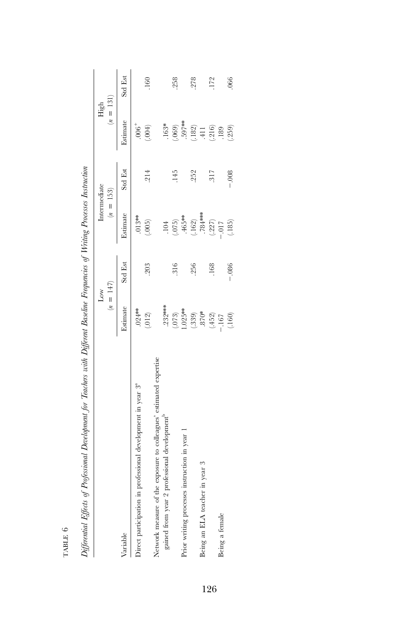| подравнит Filery д Linkeynam Госсобинст да теанегу ост Гадреет госсов Liedman со Aliang Linceyer wounded |                           |                |                             |                |                     |                |
|----------------------------------------------------------------------------------------------------------|---------------------------|----------------|-----------------------------|----------------|---------------------|----------------|
|                                                                                                          | $(n = 147)$<br><b>NOT</b> |                | Intermediate<br>$(n = 153)$ |                | $(n = 131)$<br>High |                |
| Variable                                                                                                 | Estimate                  | <b>Std Est</b> | Estimate                    | <b>Std Est</b> | Estimate            | <b>Std Est</b> |
| Direct participation in professional development in year 3 <sup>ª</sup>                                  | 024**<br>(012)            | .203           | $.013***$<br>(.005)         | .214           | $0.006 +$<br>(1004) | .160           |
| Network measure of the exposure to colleagues' estimated expertise                                       |                           |                |                             |                |                     |                |
| gained from year 2 professional development <sup>b</sup>                                                 | $.232***$<br>(.073)       | 316            | (075)<br>104                | 145            | .163*<br>(69)       | 258            |
| Prior writing processes instruction in year 1                                                            | 1.025**                   |                | .465**                      |                | .597**              |                |
| Being an ELA teacher in year 3                                                                           | $.870*$<br>(.339)         | 256            | $.784***$<br>(.162)         | 252            | $\frac{(182)}{411}$ | .278           |
|                                                                                                          | (.452)                    | .168           | (.227)                      | .317           | (.216)              | .172           |
| Being a female                                                                                           | (.160)<br>$-167$          | $-0.86$        | (.185)<br>.017              | $-0.08$        | (259)<br>.189       | .066           |
|                                                                                                          |                           |                |                             |                |                     |                |

 $m\dot{\alpha}c$  of  $M\ddot{m}$  in  $P_{MOR}$  is a Instruction Differential Effects of Professional Development for Teachers with Different Baseline Frequencies of Writing Processes Instruction Differential Effects of Professional Development for Teachers with Different Baseline Frecu

TABLE 6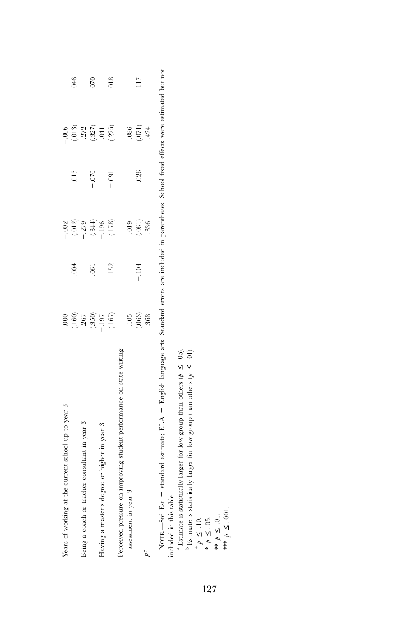| Years of working at the current school up to year 3                 | $\approx$                                 |                  |                                                        |          |                                                                      |                  |
|---------------------------------------------------------------------|-------------------------------------------|------------------|--------------------------------------------------------|----------|----------------------------------------------------------------------|------------------|
|                                                                     |                                           | 604              |                                                        | $-0.015$ |                                                                      | $-0.46$          |
| Being a coach or teacher consultant in year 3                       |                                           |                  |                                                        |          |                                                                      |                  |
|                                                                     | $(160)$<br>$(267)$<br>$(350)$<br>$(-197)$ | $\overline{061}$ | $-0.02$<br>$-0.012$<br>$-0.779$<br>$-0.379$<br>$-1.96$ | $-0.070$ |                                                                      | 070              |
| Having a master's degree or higher in year 3                        |                                           |                  |                                                        |          |                                                                      |                  |
|                                                                     | $(.167)$                                  | 152              | (.178)                                                 | $-0.091$ | $-0.06$<br>$(0.13)$<br>$(0.13)$<br>$(0.327)$<br>$(0.41)$<br>$(2.25)$ | 018              |
| erceived pressure on improving student performance on state writing |                                           |                  |                                                        |          |                                                                      |                  |
| ssessment in year 3                                                 | .105                                      |                  |                                                        |          |                                                                      |                  |
|                                                                     | .063)                                     | $-104$           | $0.99$<br>$0.61$<br>$0.336$                            | .026     | $0.66$<br>$-0.71$<br>$+24$                                           | $\overline{117}$ |
| á                                                                   | 368                                       |                  |                                                        |          |                                                                      |                  |
|                                                                     |                                           |                  |                                                        |          |                                                                      |                  |

NOTE.-Std Est = standard estimate; ELA = English language arts. Standard errors are included in parentheses. School fixed effects were estimated but not NOTE.—Std Est = standard estimate; ELA = English language arts. Standard errors are included in parentheses. School fixed effects were estimated but not included in this table. included in this table.

abEstimate is statistically larger for low group than others  $(p \leq .05)$ .

Estimate is statistically larger for low group than others ( $p \leq .01$ ).

 $\frac{10}{2}$ <br>\*  $\frac{10}{6}$ *p* ≤ . 05.

\*\* *p* ≤ .01.

\*\*\* *p* ≤ . 001.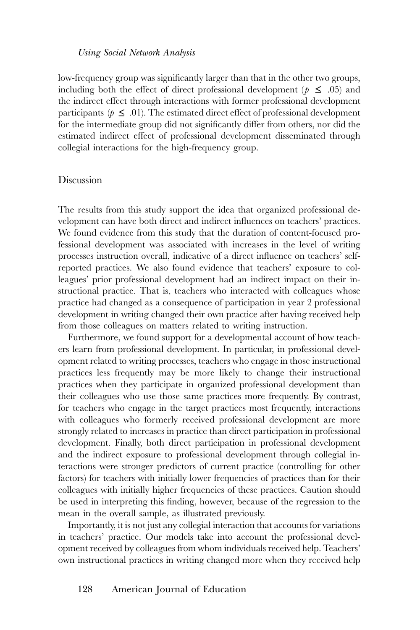low-frequency group was significantly larger than that in the other two groups, including both the effect of direct professional development ( $p \leq .05$ ) and the indirect effect through interactions with former professional development participants ( $p \leq .01$ ). The estimated direct effect of professional development for the intermediate group did not significantly differ from others, nor did the estimated indirect effect of professional development disseminated through collegial interactions for the high-frequency group.

# Discussion

The results from this study support the idea that organized professional development can have both direct and indirect influences on teachers' practices. We found evidence from this study that the duration of content-focused professional development was associated with increases in the level of writing processes instruction overall, indicative of a direct influence on teachers' selfreported practices. We also found evidence that teachers' exposure to colleagues' prior professional development had an indirect impact on their instructional practice. That is, teachers who interacted with colleagues whose practice had changed as a consequence of participation in year 2 professional development in writing changed their own practice after having received help from those colleagues on matters related to writing instruction.

Furthermore, we found support for a developmental account of how teachers learn from professional development. In particular, in professional development related to writing processes, teachers who engage in those instructional practices less frequently may be more likely to change their instructional practices when they participate in organized professional development than their colleagues who use those same practices more frequently. By contrast, for teachers who engage in the target practices most frequently, interactions with colleagues who formerly received professional development are more strongly related to increases in practice than direct participation in professional development. Finally, both direct participation in professional development and the indirect exposure to professional development through collegial interactions were stronger predictors of current practice (controlling for other factors) for teachers with initially lower frequencies of practices than for their colleagues with initially higher frequencies of these practices. Caution should be used in interpreting this finding, however, because of the regression to the mean in the overall sample, as illustrated previously.

Importantly, it is not just any collegial interaction that accounts for variations in teachers' practice. Our models take into account the professional development received by colleagues from whom individuals received help. Teachers' own instructional practices in writing changed more when they received help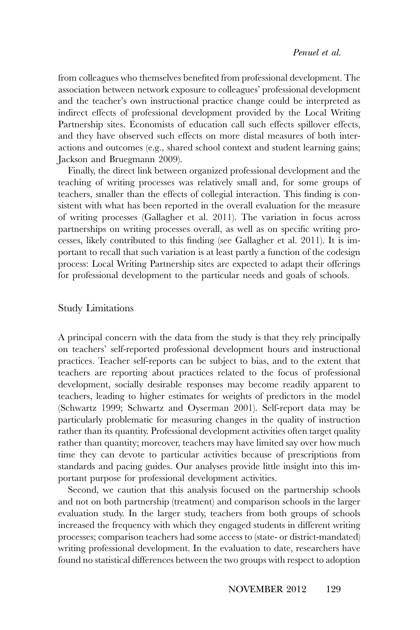from colleagues who themselves benefited from professional development. The association between network exposure to colleagues' professional development and the teacher's own instructional practice change could be interpreted as indirect effects of professional development provided by the Local Writing Partnership sites. Economists of education call such effects spillover effects, and they have observed such effects on more distal measures of both interactions and outcomes (e.g., shared school context and student learning gains; Jackson and Bruegmann 2009).

Finally, the direct link between organized professional development and the teaching of writing processes was relatively small and, for some groups of teachers, smaller than the effects of collegial interaction. This finding is consistent with what has been reported in the overall evaluation for the measure of writing processes (Gallagher et al. 2011). The variation in focus across partnerships on writing processes overall, as well as on specific writing processes, likely contributed to this finding (see Gallagher et al. 2011). It is important to recall that such variation is at least partly a function of the codesign process: Local Writing Partnership sites are expected to adapt their offerings for professional development to the particular needs and goals of schools.

## Study Limitations

A principal concern with the data from the study is that they rely principally on teachers' self-reported professional development hours and instructional practices. Teacher self-reports can be subject to bias, and to the extent that teachers are reporting about practices related to the focus of professional development, socially desirable responses may become readily apparent to teachers, leading to higher estimates for weights of predictors in the model (Schwartz 1999; Schwartz and Oyserman 2001). Self-report data may be particularly problematic for measuring changes in the quality of instruction rather than its quantity. Professional development activities often target quality rather than quantity; moreover, teachers may have limited say over how much time they can devote to particular activities because of prescriptions from standards and pacing guides. Our analyses provide little insight into this important purpose for professional development activities.

Second, we caution that this analysis focused on the partnership schools and not on both partnership (treatment) and comparison schools in the larger evaluation study. In the larger study, teachers from both groups of schools increased the frequency with which they engaged students in different writing processes; comparison teachers had some access to (state- or district-mandated) writing professional development. In the evaluation to date, researchers have found no statistical differences between the two groups with respect to adoption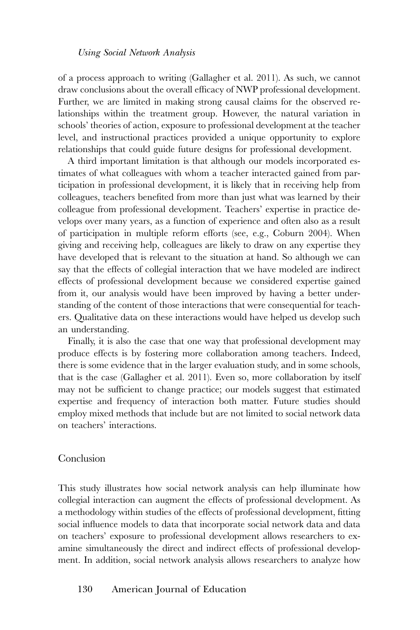of a process approach to writing (Gallagher et al. 2011). As such, we cannot draw conclusions about the overall efficacy of NWP professional development. Further, we are limited in making strong causal claims for the observed relationships within the treatment group. However, the natural variation in schools' theories of action, exposure to professional development at the teacher level, and instructional practices provided a unique opportunity to explore relationships that could guide future designs for professional development.

A third important limitation is that although our models incorporated estimates of what colleagues with whom a teacher interacted gained from participation in professional development, it is likely that in receiving help from colleagues, teachers benefited from more than just what was learned by their colleague from professional development. Teachers' expertise in practice develops over many years, as a function of experience and often also as a result of participation in multiple reform efforts (see, e.g., Coburn 2004). When giving and receiving help, colleagues are likely to draw on any expertise they have developed that is relevant to the situation at hand. So although we can say that the effects of collegial interaction that we have modeled are indirect effects of professional development because we considered expertise gained from it, our analysis would have been improved by having a better understanding of the content of those interactions that were consequential for teachers. Qualitative data on these interactions would have helped us develop such an understanding.

Finally, it is also the case that one way that professional development may produce effects is by fostering more collaboration among teachers. Indeed, there is some evidence that in the larger evaluation study, and in some schools, that is the case (Gallagher et al. 2011). Even so, more collaboration by itself may not be sufficient to change practice; our models suggest that estimated expertise and frequency of interaction both matter. Future studies should employ mixed methods that include but are not limited to social network data on teachers' interactions.

# Conclusion

This study illustrates how social network analysis can help illuminate how collegial interaction can augment the effects of professional development. As a methodology within studies of the effects of professional development, fitting social influence models to data that incorporate social network data and data on teachers' exposure to professional development allows researchers to examine simultaneously the direct and indirect effects of professional development. In addition, social network analysis allows researchers to analyze how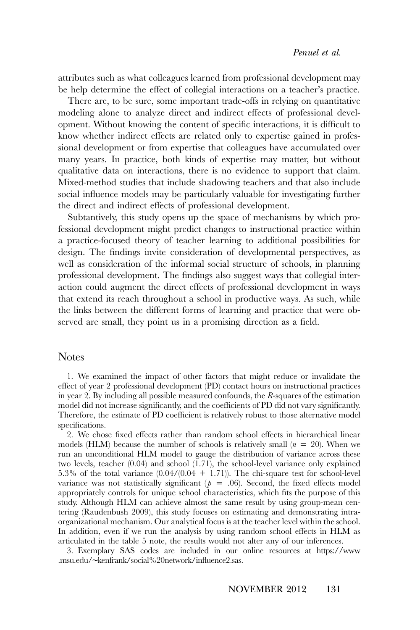attributes such as what colleagues learned from professional development may be help determine the effect of collegial interactions on a teacher's practice.

There are, to be sure, some important trade-offs in relying on quantitative modeling alone to analyze direct and indirect effects of professional development. Without knowing the content of specific interactions, it is difficult to know whether indirect effects are related only to expertise gained in professional development or from expertise that colleagues have accumulated over many years. In practice, both kinds of expertise may matter, but without qualitative data on interactions, there is no evidence to support that claim. Mixed-method studies that include shadowing teachers and that also include social influence models may be particularly valuable for investigating further the direct and indirect effects of professional development.

Subtantively, this study opens up the space of mechanisms by which professional development might predict changes to instructional practice within a practice-focused theory of teacher learning to additional possibilities for design. The findings invite consideration of developmental perspectives, as well as consideration of the informal social structure of schools, in planning professional development. The findings also suggest ways that collegial interaction could augment the direct effects of professional development in ways that extend its reach throughout a school in productive ways. As such, while the links between the different forms of learning and practice that were observed are small, they point us in a promising direction as a field.

# **Notes**

1. We examined the impact of other factors that might reduce or invalidate the effect of year 2 professional development (PD) contact hours on instructional practices in year 2. By including all possible measured confounds, the *R*-squares of the estimation model did not increase significantly, and the coefficients of PD did not vary significantly. Therefore, the estimate of PD coefficient is relatively robust to those alternative model specifications.

2. We chose fixed effects rather than random school effects in hierarchical linear models (HLM) because the number of schools is relatively small  $(n = 20)$ . When we run an unconditional HLM model to gauge the distribution of variance across these two levels, teacher (0.04) and school (1.71), the school-level variance only explained 5.3% of the total variance  $(0.04/(0.04 + 1.71))$ . The chi-square test for school-level variance was not statistically significant ( $p = .06$ ). Second, the fixed effects model appropriately controls for unique school characteristics, which fits the purpose of this study. Although HLM can achieve almost the same result by using group-mean centering (Raudenbush 2009), this study focuses on estimating and demonstrating intraorganizational mechanism. Our analytical focus is at the teacher level within the school. In addition, even if we run the analysis by using random school effects in HLM as articulated in the table 5 note, the results would not alter any of our inferences.

3. Exemplary SAS codes are included in our online resources at [https://www](https://www.msu.edu/kenfrank/social%20network/influence2.sas) .msu.edu/∼[kenfrank/social%20network/influence2.sas.](https://www.msu.edu/kenfrank/social%20network/influence2.sas)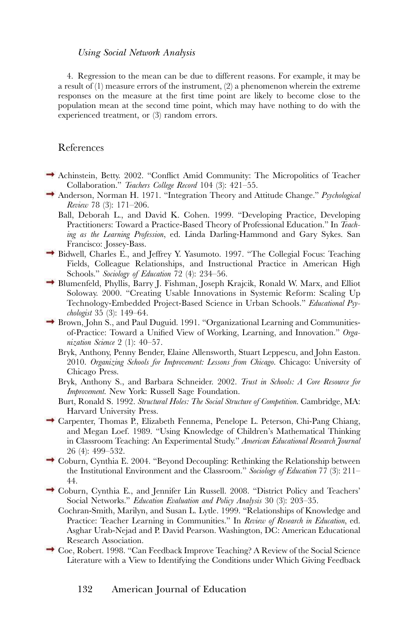4. Regression to the mean can be due to different reasons. For example, it may be a result of  $(1)$  measure errors of the instrument,  $(2)$  a phenomenon wherein the extreme responses on the measure at the first time point are likely to become close to the population mean at the second time point, which may have nothing to do with the experienced treatment, or (3) random errors.

# References

- Achinstein, Betty. 2002. "Conflict Amid Community: The Micropolitics of Teacher Collaboration." *Teachers College Record* 104 (3): 421–55.
- Anderson, Norman H. 1971. "Integration Theory and Attitude Change." *Psychological Review* 78 (3): 171–206.
	- Ball, Deborah L., and David K. Cohen. 1999. "Developing Practice, Developing Practitioners: Toward a Practice-Based Theory of Professional Education." In *Teaching as the Learning Profession*, ed. Linda Darling-Hammond and Gary Sykes. San Francisco: Jossey-Bass.
- Bidwell, Charles E., and Jeffrey Y. Yasumoto. 1997. "The Collegial Focus: Teaching Fields, Colleague Relationships, and Instructional Practice in American High Schools." *Sociology of Education* 72 (4): 234–56.
- Blumenfeld, Phyllis, Barry J. Fishman, Joseph Krajcik, Ronald W. Marx, and Elliot Soloway. 2000. "Creating Usable Innovations in Systemic Reform: Scaling Up Technology-Embedded Project-Based Science in Urban Schools." *Educational Psychologist* 35 (3): 149–64.
- $\rightarrow$  Brown, John S., and Paul Duguid. 1991. "Organizational Learning and Communitiesof-Practice: Toward a Unified View of Working, Learning, and Innovation." *Organization Science* 2 (1): 40–57.
	- Bryk, Anthony, Penny Bender, Elaine Allensworth, Stuart Leppescu, and John Easton. 2010. *Organizing Schools for Improvement: Lessons from Chicago*. Chicago: University of Chicago Press.
	- Bryk, Anthony S., and Barbara Schneider. 2002. *Trust in Schools: A Core Resource for Improvement*. New York: Russell Sage Foundation.
	- Burt, Ronald S. 1992. *Structural Holes: The Social Structure of Competition*. Cambridge, MA: Harvard University Press.
- Carpenter, Thomas P., Elizabeth Fennema, Penelope L. Peterson, Chi-Pang Chiang, and Megan Loef. 1989. "Using Knowledge of Children's Mathematical Thinking in Classroom Teaching: An Experimental Study." *American Educational Research Journal* 26 (4): 499–532.
- $\rightarrow$  Coburn, Cynthia E. 2004. "Beyond Decoupling: Rethinking the Relationship between the Institutional Environment and the Classroom." *Sociology of Education* 77 (3): 211– 44.
- Coburn, Cynthia E., and Jennifer Lin Russell. 2008. "District Policy and Teachers' Social Networks." *Education Evaluation and Policy Analysis* 30 (3): 203–35.
	- Cochran-Smith, Marilyn, and Susan L. Lytle. 1999. "Relationships of Knowledge and Practice: Teacher Learning in Communities." In *Review of Research in Education*, ed. Asghar Urab-Nejad and P. David Pearson. Washington, DC: American Educational Research Association.
- Coe, Robert. 1998. "Can Feedback Improve Teaching? A Review of the Social Science Literature with a View to Identifying the Conditions under Which Giving Feedback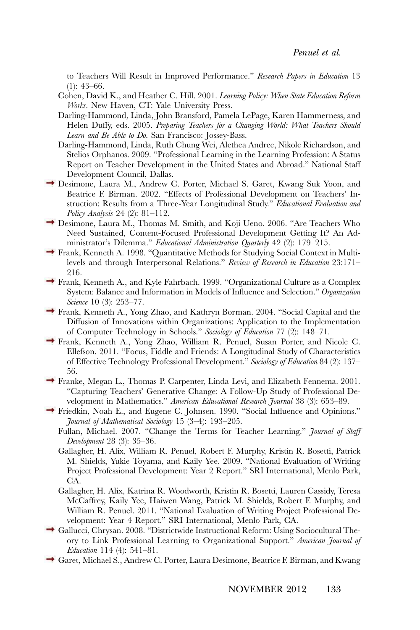to Teachers Will Result in Improved Performance." *Research Papers in Education* 13  $(1): 43–66.$ 

- Cohen, David K., and Heather C. Hill. 2001. *Learning Policy: When State Education Reform Works*. New Haven, CT: Yale University Press.
- Darling-Hammond, Linda, John Bransford, Pamela LePage, Karen Hammerness, and Helen Duffy, eds. 2005. *Preparing Teachers for a Changing World: What Teachers Should Learn and Be Able to Do*. San Francisco: Jossey-Bass.
- Darling-Hammond, Linda, Ruth Chung Wei, Alethea Andree, Nikole Richardson, and Stelios Orphanos. 2009. "Professional Learning in the Learning Profession: A Status Report on Teacher Development in the United States and Abroad." National Staff Development Council, Dallas.
- Desimone, Laura M., Andrew C. Porter, Michael S. Garet, Kwang Suk Yoon, and Beatrice F. Birman. 2002. "Effects of Professional Development on Teachers' Instruction: Results from a Three-Year Longitudinal Study." *Educational Evaluation and Policy Analysis* 24 (2): 81–112.
- Desimone, Laura M., Thomas M. Smith, and Koji Ueno. 2006. "Are Teachers Who Need Sustained, Content-Focused Professional Development Getting It? An Administrator's Dilemma." *Educational Administration Quarterly* 42 (2): 179–215.
- Frank, Kenneth A. 1998. "Quantitative Methods for Studying Social Context in Multilevels and through Interpersonal Relations." *Review of Research in Education* 23:171– 216.
- Frank, Kenneth A., and Kyle Fahrbach. 1999. "Organizational Culture as a Complex System: Balance and Information in Models of Influence and Selection." *Organization Science* 10 (3): 253–77.
- Frank, Kenneth A., Yong Zhao, and Kathryn Borman. 2004. "Social Capital and the Diffusion of Innovations within Organizations: Application to the Implementation of Computer Technology in Schools." *Sociology of Education* 77 (2): 148–71.
- Frank, Kenneth A., Yong Zhao, William R. Penuel, Susan Porter, and Nicole C. Ellefson. 2011. "Focus, Fiddle and Friends: A Longitudinal Study of Characteristics of Effective Technology Professional Development." *Sociology of Education* 84 (2): 137– 56.
- $\rightarrow$  Franke, Megan L., Thomas P. Carpenter, Linda Levi, and Elizabeth Fennema. 2001. "Capturing Teachers' Generative Change: A Follow-Up Study of Professional Development in Mathematics." *American Educational Research Journal* 38 (3): 653–89.
- Friedkin, Noah E., and Eugene C. Johnsen. 1990. "Social Influence and Opinions." *Journal of Mathematical Sociology* 15 (3–4): 193–205.
	- Fullan, Michael. 2007. "Change the Terms for Teacher Learning." *Journal of Staff Development* 28 (3): 35–36.
	- Gallagher, H. Alix, William R. Penuel, Robert F. Murphy, Kristin R. Bosetti, Patrick M. Shields, Yukie Toyama, and Kaily Yee. 2009. "National Evaluation of Writing Project Professional Development: Year 2 Report." SRI International, Menlo Park, CA.
	- Gallagher, H. Alix, Katrina R. Woodworth, Kristin R. Bosetti, Lauren Cassidy, Teresa McCaffrey, Kaily Yee, Haiwen Wang, Patrick M. Shields, Robert F. Murphy, and William R. Penuel. 2011. "National Evaluation of Writing Project Professional Development: Year 4 Report." SRI International, Menlo Park, CA.
- Gallucci, Chrysan. 2008. "Districtwide Instructional Reform: Using Sociocultural Theory to Link Professional Learning to Organizational Support." *American Journal of Education* 114 (4): 541–81.
- Garet, Michael S., Andrew C. Porter, Laura Desimone, Beatrice F. Birman, and Kwang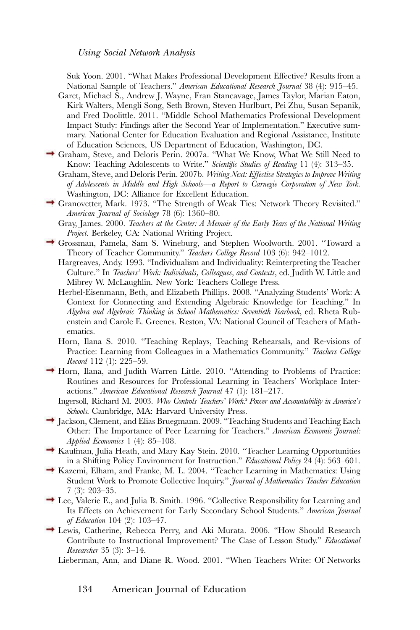Suk Yoon. 2001. "What Makes Professional Development Effective? Results from a National Sample of Teachers." *American Educational Research Journal* 38 (4): 915–45.

- Garet, Michael S., Andrew J. Wayne, Fran Stancavage, James Taylor, Marian Eaton, Kirk Walters, Mengli Song, Seth Brown, Steven Hurlburt, Pei Zhu, Susan Sepanik, and Fred Doolittle. 2011. "Middle School Mathematics Professional Development Impact Study: Findings after the Second Year of Implementation." Executive summary. National Center for Education Evaluation and Regional Assistance, Institute of Education Sciences, US Department of Education, Washington, DC.
- Graham, Steve, and Deloris Perin. 2007a. "What We Know, What We Still Need to Know: Teaching Adolescents to Write." *Scientific Studies of Reading* 11 (4): 313–35.
	- Graham, Steve, and Deloris Perin. 2007b. *Writing Next: Effective Strategies to Improve Writing of Adolescents in Middle and High Schools—a Report to Carnegie Corporation of New York*. Washington, DC: Alliance for Excellent Education.
- Granovetter, Mark. 1973. "The Strength of Weak Ties: Network Theory Revisited." *American Journal of Sociology* 78 (6): 1360–80.
	- Gray, James. 2000. *Teachers at the Center: A Memoir of the Early Years of the National Writing Project*. Berkeley, CA: National Writing Project.
- Grossman, Pamela, Sam S. Wineburg, and Stephen Woolworth. 2001. "Toward a Theory of Teacher Community." *Teachers College Record* 103 (6): 942–1012.
	- Hargreaves, Andy. 1993. "Individualism and Individuality: Reinterpreting the Teacher Culture." In *Teachers' Work: Individuals, Colleagues, and Contexts*, ed. Judith W. Little and Mibrey W. McLaughlin. New York: Teachers College Press.
	- Herbel-Eisenmann, Beth, and Elizabeth Phillips. 2008. "Analyzing Students' Work: A Context for Connecting and Extending Algebraic Knowledge for Teaching." In *Algebra and Algebraic Thinking in School Mathematics: Seventieth Yearbook*, ed. Rheta Rubenstein and Carole E. Greenes. Reston, VA: National Council of Teachers of Mathematics.
	- Horn, Ilana S. 2010. "Teaching Replays, Teaching Rehearsals, and Re-visions of Practice: Learning from Colleagues in a Mathematics Community." *Teachers College Record* 112 (1): 225–59.
- $\rightarrow$  Horn, Ilana, and Judith Warren Little. 2010. "Attending to Problems of Practice: Routines and Resources for Professional Learning in Teachers' Workplace Interactions." *American Educational Research Journal* 47 (1): 181–217.
	- Ingersoll, Richard M. 2003. *Who Controls Teachers' Work? Power and Accountability in America's Schools*. Cambridge, MA: Harvard University Press.
- Jackson, Clement, and Elias Bruegmann. 2009. "Teaching Students and Teaching Each Other: The Importance of Peer Learning for Teachers." *American Economic Journal: Applied Economics* 1 (4): 85–108.
- Kaufman, Julia Heath, and Mary Kay Stein. 2010. "Teacher Learning Opportunities in a Shifting Policy Environment for Instruction." *Educational Policy* 24 (4): 563–601.
- Kazemi, Elham, and Franke, M. L. 2004. "Teacher Learning in Mathematics: Using Student Work to Promote Collective Inquiry." *Journal of Mathematics Teacher Education* 7 (3): 203–35.
- Lee, Valerie E., and Julia B. Smith. 1996. "Collective Responsibility for Learning and Its Effects on Achievement for Early Secondary School Students." *American Journal of Education* 104 (2): 103–47.
- Lewis, Catherine, Rebecca Perry, and Aki Murata. 2006. "How Should Research Contribute to Instructional Improvement? The Case of Lesson Study." *Educational Researcher* 35 (3): 3–14.
	- Lieberman, Ann, and Diane R. Wood. 2001. "When Teachers Write: Of Networks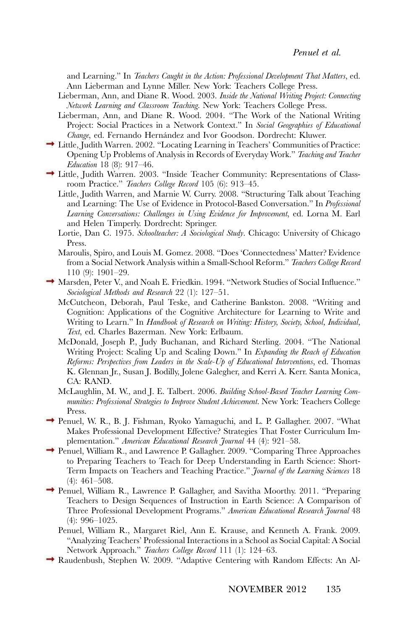and Learning." In *Teachers Caught in the Action: Professional Development That Matters*, ed. Ann Lieberman and Lynne Miller. New York: Teachers College Press.

- Lieberman, Ann, and Diane R. Wood. 2003. *Inside the National Writing Project: Connecting Network Learning and Classroom Teaching*. New York: Teachers College Press.
- Lieberman, Ann, and Diane R. Wood. 2004. "The Work of the National Writing Project: Social Practices in a Network Context." In *Social Geographies of Educational Change*, ed. Fernando Hernández and Ivor Goodson. Dordrecht: Kluwer.
- Little, Judith Warren. 2002. "Locating Learning in Teachers' Communities of Practice: Opening Up Problems of Analysis in Records of Everyday Work." *Teaching and Teacher Education* 18 (8): 917–46.
- $\rightarrow$  Little, Judith Warren. 2003. "Inside Teacher Community: Representations of Classroom Practice." *Teachers College Record* 105 (6): 913–45.
	- Little, Judith Warren, and Marnie W. Curry. 2008. "Structuring Talk about Teaching and Learning: The Use of Evidence in Protocol-Based Conversation." In *Professional Learning Conversations: Challenges in Using Evidence for Improvement*, ed. Lorna M. Earl and Helen Timperly. Dordrecht: Springer.
	- Lortie, Dan C. 1975. *Schoolteacher: A Sociological Study*. Chicago: University of Chicago Press.
	- Maroulis, Spiro, and Louis M. Gomez. 2008. "Does 'Connectedness' Matter? Evidence from a Social Network Analysis within a Small-School Reform." *Teachers College Record* 110 (9): 1901–29.
- Marsden, Peter V., and Noah E. Friedkin. 1994. "Network Studies of Social Influence." *Sociological Methods and Research* 22 (1): 127–51.
	- McCutcheon, Deborah, Paul Teske, and Catherine Bankston. 2008. "Writing and Cognition: Applications of the Cognitive Architecture for Learning to Write and Writing to Learn." In *Handbook of Research on Writing: History, Society, School, Individual, Text*, ed. Charles Bazerman. New York: Erlbaum.
	- McDonald, Joseph P., Judy Buchanan, and Richard Sterling. 2004. "The National Writing Project: Scaling Up and Scaling Down." In *Expanding the Reach of Education Reforms: Perspectives from Leaders in the Scale-Up of Educational Interventions*, ed. Thomas K. Glennan Jr., Susan J. Bodilly, Jolene Galegher, and Kerri A. Kerr. Santa Monica, CA: RAND.
	- McLaughlin, M. W., and J. E. Talbert. 2006. *Building School-Based Teacher Learning Communities: Professional Strategies to Improve Student Achievement*. New York: Teachers College Press.
- Penuel, W. R., B. J. Fishman, Ryoko Yamaguchi, and L. P. Gallagher. 2007. "What Makes Professional Development Effective? Strategies That Foster Curriculum Implementation." *American Educational Research Journal* 44 (4): 921–58.
- Penuel, William R., and Lawrence P. Gallagher. 2009. "Comparing Three Approaches to Preparing Teachers to Teach for Deep Understanding in Earth Science: Short-Term Impacts on Teachers and Teaching Practice." *Journal of the Learning Sciences* 18 (4): 461–508.
- Penuel, William R., Lawrence P. Gallagher, and Savitha Moorthy. 2011. "Preparing Teachers to Design Sequences of Instruction in Earth Science: A Comparison of Three Professional Development Programs." *American Educational Research Journal* 48 (4): 996–1025.
	- Penuel, William R., Margaret Riel, Ann E. Krause, and Kenneth A. Frank. 2009. "Analyzing Teachers' Professional Interactions in a School as Social Capital: A Social Network Approach." *Teachers College Record* 111 (1): 124–63.
- Raudenbush, Stephen W. 2009. "Adaptive Centering with Random Effects: An Al-